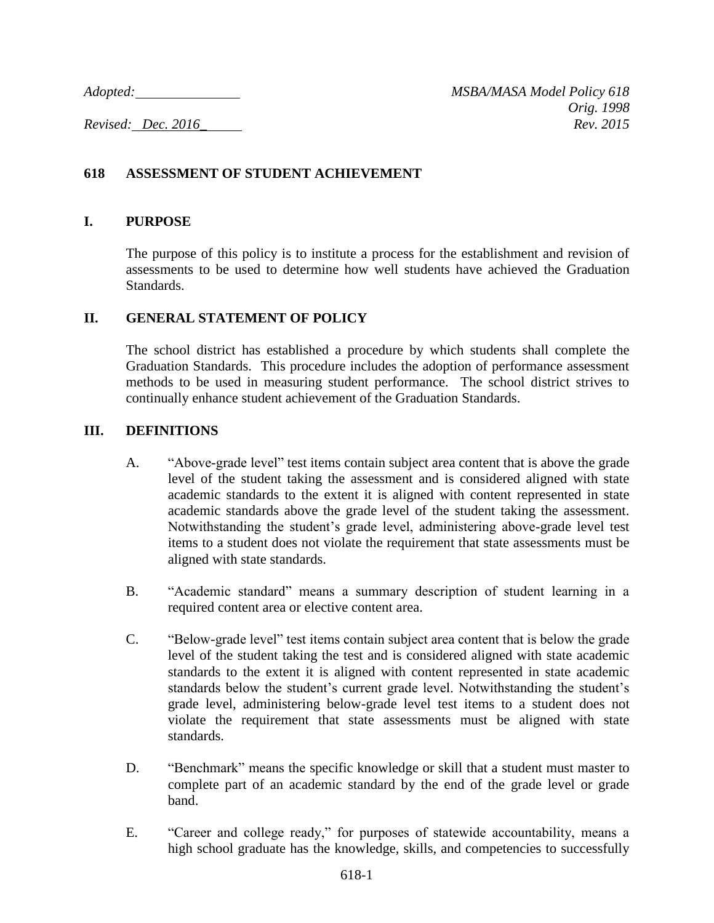# **618 ASSESSMENT OF STUDENT ACHIEVEMENT**

#### **I. PURPOSE**

The purpose of this policy is to institute a process for the establishment and revision of assessments to be used to determine how well students have achieved the Graduation Standards.

# **II. GENERAL STATEMENT OF POLICY**

The school district has established a procedure by which students shall complete the Graduation Standards. This procedure includes the adoption of performance assessment methods to be used in measuring student performance. The school district strives to continually enhance student achievement of the Graduation Standards.

#### **III. DEFINITIONS**

- A. "Above-grade level" test items contain subject area content that is above the grade level of the student taking the assessment and is considered aligned with state academic standards to the extent it is aligned with content represented in state academic standards above the grade level of the student taking the assessment. Notwithstanding the student's grade level, administering above-grade level test items to a student does not violate the requirement that state assessments must be aligned with state standards.
- B. "Academic standard" means a summary description of student learning in a required content area or elective content area.
- C. "Below-grade level" test items contain subject area content that is below the grade level of the student taking the test and is considered aligned with state academic standards to the extent it is aligned with content represented in state academic standards below the student's current grade level. Notwithstanding the student's grade level, administering below-grade level test items to a student does not violate the requirement that state assessments must be aligned with state standards.
- D. "Benchmark" means the specific knowledge or skill that a student must master to complete part of an academic standard by the end of the grade level or grade band.
- E. "Career and college ready," for purposes of statewide accountability, means a high school graduate has the knowledge, skills, and competencies to successfully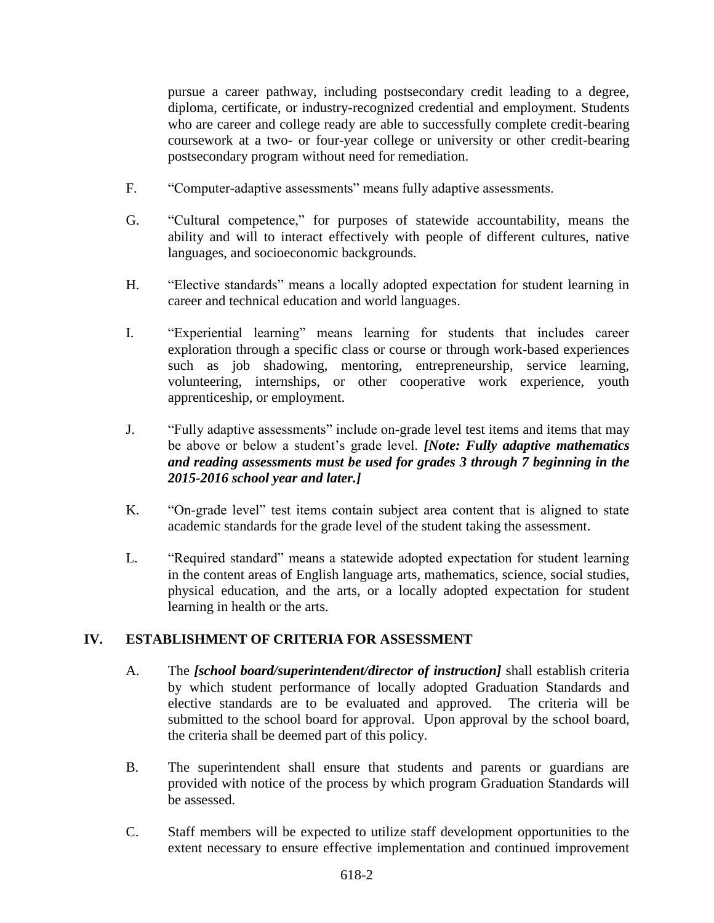pursue a career pathway, including postsecondary credit leading to a degree, diploma, certificate, or industry-recognized credential and employment. Students who are career and college ready are able to successfully complete credit-bearing coursework at a two- or four-year college or university or other credit-bearing postsecondary program without need for remediation.

- F. "Computer-adaptive assessments" means fully adaptive assessments.
- G. "Cultural competence," for purposes of statewide accountability, means the ability and will to interact effectively with people of different cultures, native languages, and socioeconomic backgrounds.
- H. "Elective standards" means a locally adopted expectation for student learning in career and technical education and world languages.
- I. "Experiential learning" means learning for students that includes career exploration through a specific class or course or through work-based experiences such as job shadowing, mentoring, entrepreneurship, service learning, volunteering, internships, or other cooperative work experience, youth apprenticeship, or employment.
- J. "Fully adaptive assessments" include on-grade level test items and items that may be above or below a student's grade level. *[Note: Fully adaptive mathematics and reading assessments must be used for grades 3 through 7 beginning in the 2015-2016 school year and later.]*
- K. "On-grade level" test items contain subject area content that is aligned to state academic standards for the grade level of the student taking the assessment.
- L. "Required standard" means a statewide adopted expectation for student learning in the content areas of English language arts, mathematics, science, social studies, physical education, and the arts, or a locally adopted expectation for student learning in health or the arts.

# **IV. ESTABLISHMENT OF CRITERIA FOR ASSESSMENT**

- A. The *[school board/superintendent/director of instruction]* shall establish criteria by which student performance of locally adopted Graduation Standards and elective standards are to be evaluated and approved. The criteria will be submitted to the school board for approval. Upon approval by the school board, the criteria shall be deemed part of this policy.
- B. The superintendent shall ensure that students and parents or guardians are provided with notice of the process by which program Graduation Standards will be assessed.
- C. Staff members will be expected to utilize staff development opportunities to the extent necessary to ensure effective implementation and continued improvement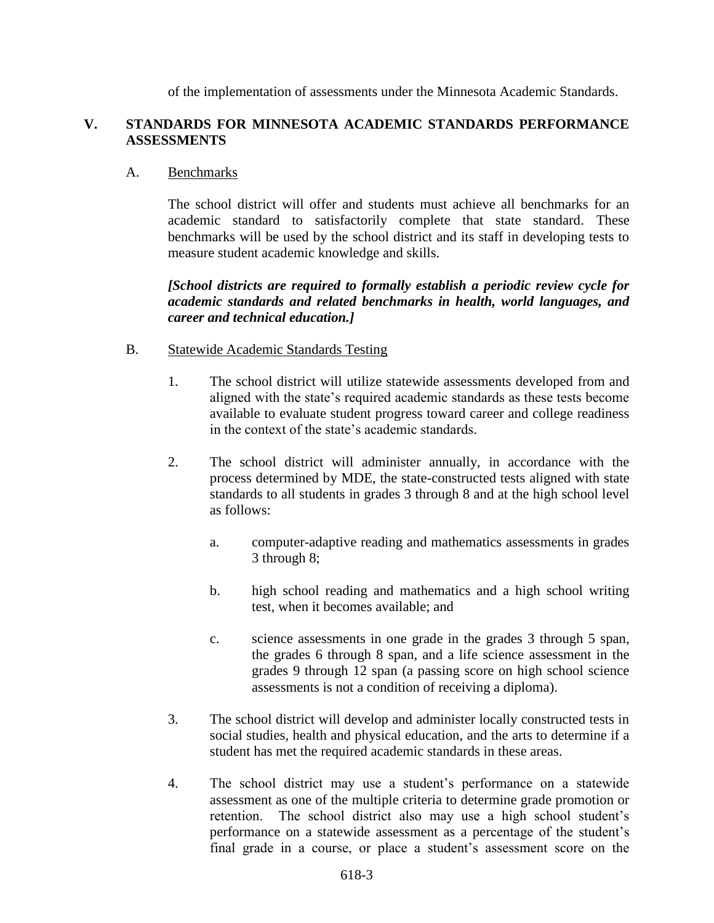of the implementation of assessments under the Minnesota Academic Standards.

#### **V. STANDARDS FOR MINNESOTA ACADEMIC STANDARDS PERFORMANCE ASSESSMENTS**

#### A. Benchmarks

The school district will offer and students must achieve all benchmarks for an academic standard to satisfactorily complete that state standard. These benchmarks will be used by the school district and its staff in developing tests to measure student academic knowledge and skills.

*[School districts are required to formally establish a periodic review cycle for academic standards and related benchmarks in health, world languages, and career and technical education.]*

# B. Statewide Academic Standards Testing

- 1. The school district will utilize statewide assessments developed from and aligned with the state's required academic standards as these tests become available to evaluate student progress toward career and college readiness in the context of the state's academic standards.
- 2. The school district will administer annually, in accordance with the process determined by MDE, the state-constructed tests aligned with state standards to all students in grades 3 through 8 and at the high school level as follows:
	- a. computer-adaptive reading and mathematics assessments in grades 3 through 8;
	- b. high school reading and mathematics and a high school writing test, when it becomes available; and
	- c. science assessments in one grade in the grades 3 through 5 span, the grades 6 through 8 span, and a life science assessment in the grades 9 through 12 span (a passing score on high school science assessments is not a condition of receiving a diploma).
- 3. The school district will develop and administer locally constructed tests in social studies, health and physical education, and the arts to determine if a student has met the required academic standards in these areas.
- 4. The school district may use a student's performance on a statewide assessment as one of the multiple criteria to determine grade promotion or retention. The school district also may use a high school student's performance on a statewide assessment as a percentage of the student's final grade in a course, or place a student's assessment score on the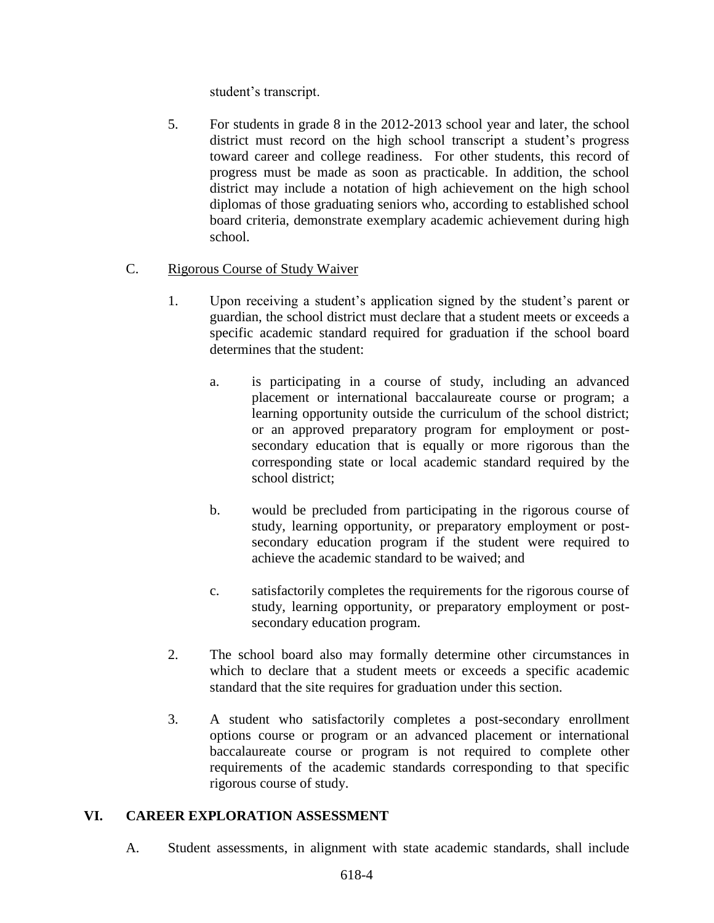student's transcript.

5. For students in grade 8 in the 2012-2013 school year and later, the school district must record on the high school transcript a student's progress toward career and college readiness. For other students, this record of progress must be made as soon as practicable. In addition, the school district may include a notation of high achievement on the high school diplomas of those graduating seniors who, according to established school board criteria, demonstrate exemplary academic achievement during high school.

# C. Rigorous Course of Study Waiver

- 1. Upon receiving a student's application signed by the student's parent or guardian, the school district must declare that a student meets or exceeds a specific academic standard required for graduation if the school board determines that the student:
	- a. is participating in a course of study, including an advanced placement or international baccalaureate course or program; a learning opportunity outside the curriculum of the school district; or an approved preparatory program for employment or postsecondary education that is equally or more rigorous than the corresponding state or local academic standard required by the school district;
	- b. would be precluded from participating in the rigorous course of study, learning opportunity, or preparatory employment or postsecondary education program if the student were required to achieve the academic standard to be waived; and
	- c. satisfactorily completes the requirements for the rigorous course of study, learning opportunity, or preparatory employment or postsecondary education program.
- 2. The school board also may formally determine other circumstances in which to declare that a student meets or exceeds a specific academic standard that the site requires for graduation under this section.
- 3. A student who satisfactorily completes a post-secondary enrollment options course or program or an advanced placement or international baccalaureate course or program is not required to complete other requirements of the academic standards corresponding to that specific rigorous course of study.

#### **VI. CAREER EXPLORATION ASSESSMENT**

A. Student assessments, in alignment with state academic standards, shall include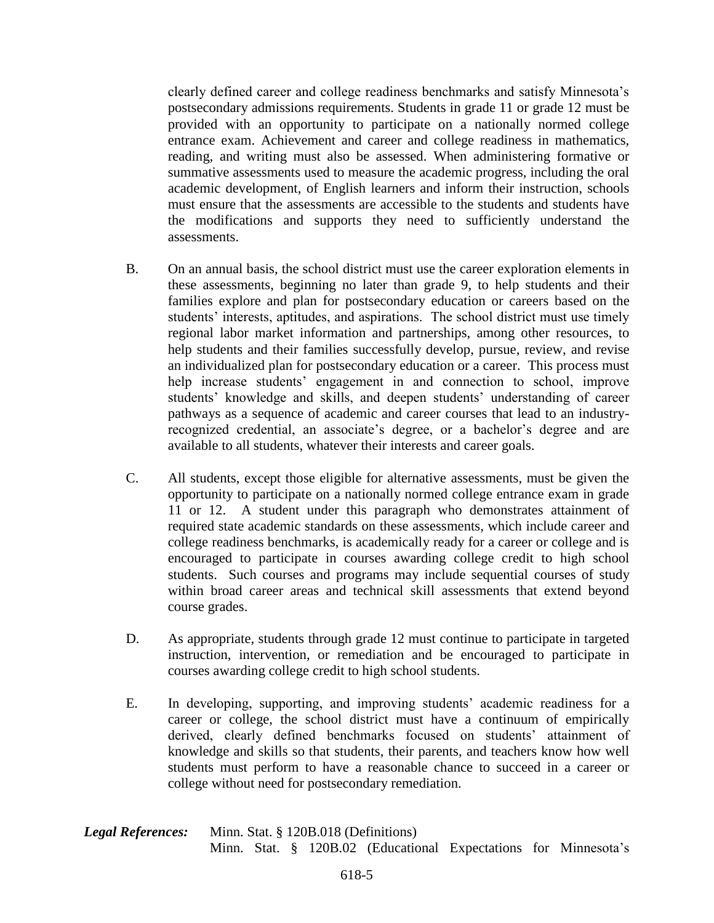clearly defined career and college readiness benchmarks and satisfy Minnesota's postsecondary admissions requirements. Students in grade 11 or grade 12 must be provided with an opportunity to participate on a nationally normed college entrance exam. Achievement and career and college readiness in mathematics, reading, and writing must also be assessed. When administering formative or summative assessments used to measure the academic progress, including the oral academic development, of English learners and inform their instruction, schools must ensure that the assessments are accessible to the students and students have the modifications and supports they need to sufficiently understand the assessments.

- B. On an annual basis, the school district must use the career exploration elements in these assessments, beginning no later than grade 9, to help students and their families explore and plan for postsecondary education or careers based on the students' interests, aptitudes, and aspirations. The school district must use timely regional labor market information and partnerships, among other resources, to help students and their families successfully develop, pursue, review, and revise an individualized plan for postsecondary education or a career. This process must help increase students' engagement in and connection to school, improve students' knowledge and skills, and deepen students' understanding of career pathways as a sequence of academic and career courses that lead to an industryrecognized credential, an associate's degree, or a bachelor's degree and are available to all students, whatever their interests and career goals.
- C. All students, except those eligible for alternative assessments, must be given the opportunity to participate on a nationally normed college entrance exam in grade 11 or 12. A student under this paragraph who demonstrates attainment of required state academic standards on these assessments, which include career and college readiness benchmarks, is academically ready for a career or college and is encouraged to participate in courses awarding college credit to high school students. Such courses and programs may include sequential courses of study within broad career areas and technical skill assessments that extend beyond course grades.
- D. As appropriate, students through grade 12 must continue to participate in targeted instruction, intervention, or remediation and be encouraged to participate in courses awarding college credit to high school students.
- E. In developing, supporting, and improving students' academic readiness for a career or college, the school district must have a continuum of empirically derived, clearly defined benchmarks focused on students' attainment of knowledge and skills so that students, their parents, and teachers know how well students must perform to have a reasonable chance to succeed in a career or college without need for postsecondary remediation.

| <b>Legal References:</b> | Minn. Stat. $\S$ 120B.018 (Definitions) |  |  |  |  |                                                                 |  |  |
|--------------------------|-----------------------------------------|--|--|--|--|-----------------------------------------------------------------|--|--|
|                          |                                         |  |  |  |  | Minn. Stat. § 120B.02 (Educational Expectations for Minnesota's |  |  |